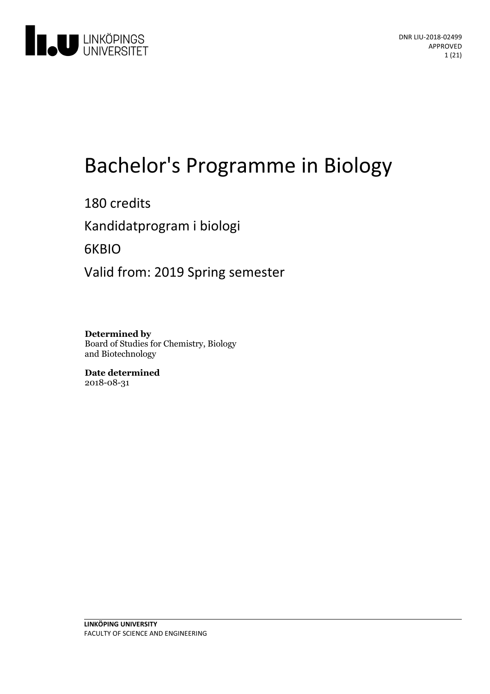

# Bachelor's Programme in Biology

180 credits Kandidatprogram i biologi 6KBIO Valid from: 2019 Spring semester

**Determined by** Board of Studies for Chemistry, Biology and Biotechnology

**Date determined** 2018-08-31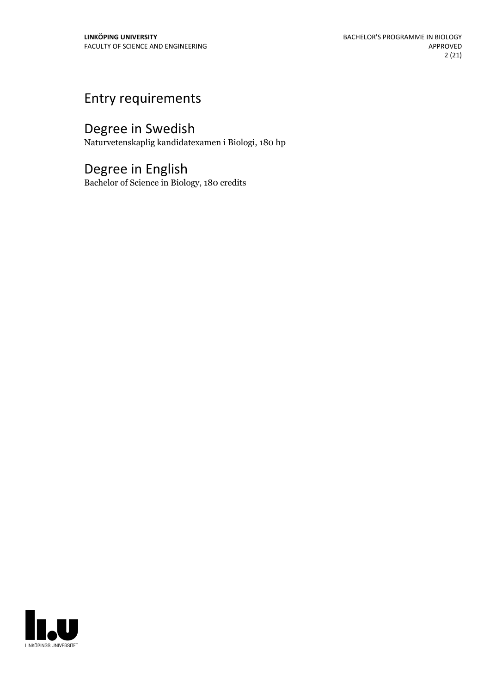## Entry requirements

## Degree in Swedish

Naturvetenskaplig kandidatexamen i Biologi, 180 hp

## Degree in English

Bachelor of Science in Biology, 180 credits

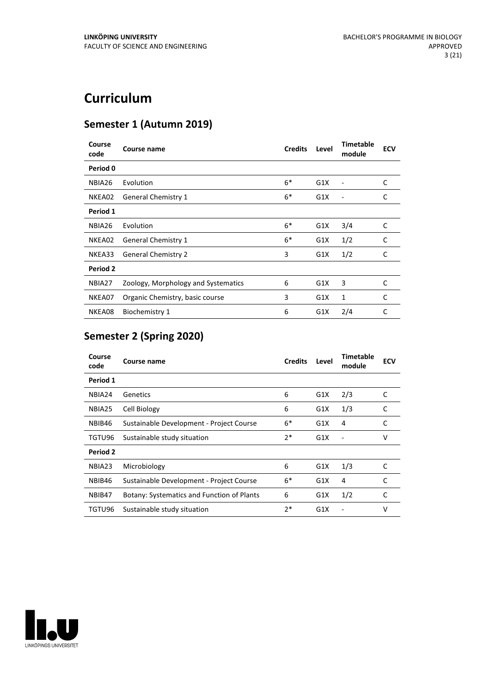## **Curriculum**

## **Semester 1 (Autumn 2019)**

| Course<br>code | Course name                         | <b>Credits</b> | Level | <b>Timetable</b><br>module | <b>ECV</b> |
|----------------|-------------------------------------|----------------|-------|----------------------------|------------|
| Period 0       |                                     |                |       |                            |            |
| NBIA26         | Evolution                           | $6*$           | G1X   |                            | C          |
| NKEA02         | <b>General Chemistry 1</b>          | $6*$           | G1X   |                            | C          |
| Period 1       |                                     |                |       |                            |            |
| NBIA26         | Evolution                           | $6*$           | G1X   | 3/4                        | C          |
| NKEA02         | <b>General Chemistry 1</b>          | $6*$           | G1X   | 1/2                        | C          |
| NKEA33         | <b>General Chemistry 2</b>          | 3              | G1X   | 1/2                        | C          |
| Period 2       |                                     |                |       |                            |            |
| NBIA27         | Zoology, Morphology and Systematics | 6              | G1X   | 3                          | C          |
| NKEA07         | Organic Chemistry, basic course     | 3              | G1X   | 1                          | C          |
| NKEA08         | <b>Biochemistry 1</b>               | 6              | G1X   | 2/4                        | C          |

## **Semester 2 (Spring 2020)**

| Course<br>code | Course name                                | <b>Credits</b> | Level | <b>Timetable</b><br>module | ECV |
|----------------|--------------------------------------------|----------------|-------|----------------------------|-----|
| Period 1       |                                            |                |       |                            |     |
| NBIA24         | Genetics                                   | 6              | G1X   | 2/3                        | C   |
| NBIA25         | Cell Biology                               | 6              | G1X   | 1/3                        | C   |
| NBIB46         | Sustainable Development - Project Course   | $6*$           | G1X   | 4                          | C   |
| TGTU96         | Sustainable study situation                | $2*$           | G1X   |                            | v   |
| Period 2       |                                            |                |       |                            |     |
| NBIA23         | Microbiology                               | 6              | G1X   | 1/3                        | C   |
| NBIB46         | Sustainable Development - Project Course   | $6*$           | G1X   | 4                          | C   |
| NBIB47         | Botany: Systematics and Function of Plants | 6              | G1X   | 1/2                        | C   |
| TGTU96         | Sustainable study situation                | $2*$           | G1X   |                            | ٧   |

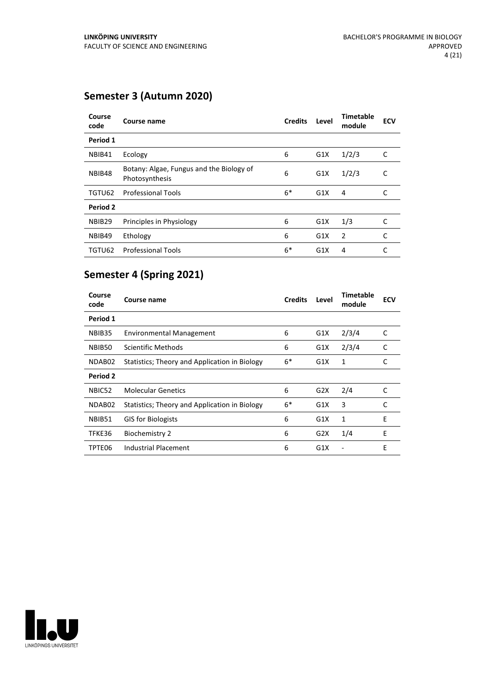## **Semester 3 (Autumn 2020)**

| Course<br>code     | <b>Course name</b>                                         | <b>Credits</b> | Level | <b>Timetable</b><br>module | <b>ECV</b> |
|--------------------|------------------------------------------------------------|----------------|-------|----------------------------|------------|
| Period 1           |                                                            |                |       |                            |            |
| NBIB41             | Ecology                                                    | 6              | G1X   | 1/2/3                      | C          |
| NBIB48             | Botany: Algae, Fungus and the Biology of<br>Photosynthesis | 6              | G1X   | 1/2/3                      | C          |
| TGTU62             | <b>Professional Tools</b>                                  | $6*$           | G1X   | 4                          | C          |
| Period 2           |                                                            |                |       |                            |            |
| NBIB <sub>29</sub> | Principles in Physiology                                   | 6              | G1X   | 1/3                        | C          |
| NBIB49             | Ethology                                                   | 6              | G1X   | 2                          | C          |
| TGTU62             | <b>Professional Tools</b>                                  | $6*$           | G1X   | 4                          | C          |

## **Semester 4 (Spring 2021)**

| Course<br>code  | Course name                                   | <b>Credits</b> | Level | <b>Timetable</b><br>module | <b>ECV</b> |
|-----------------|-----------------------------------------------|----------------|-------|----------------------------|------------|
| Period 1        |                                               |                |       |                            |            |
| NBIB35          | <b>Environmental Management</b>               | 6              | G1X   | 2/3/4                      | C          |
| NBIB50          | Scientific Methods                            | 6              | G1X   | 2/3/4                      | C          |
| NDAB02          | Statistics; Theory and Application in Biology | $6*$           | G1X   | 1                          | C          |
| <b>Period 2</b> |                                               |                |       |                            |            |
| NBIC52          | Molecular Genetics                            | 6              | G2X   | 2/4                        | C          |
| NDAB02          | Statistics; Theory and Application in Biology | $6*$           | G1X   | 3                          | C          |
| NBIB51          | <b>GIS for Biologists</b>                     | 6              | G1X   | 1                          | F          |
| TFKE36          | <b>Biochemistry 2</b>                         | 6              | G2X   | 1/4                        | E          |
| TPTE06          | Industrial Placement                          | 6              | G1X   |                            | E          |

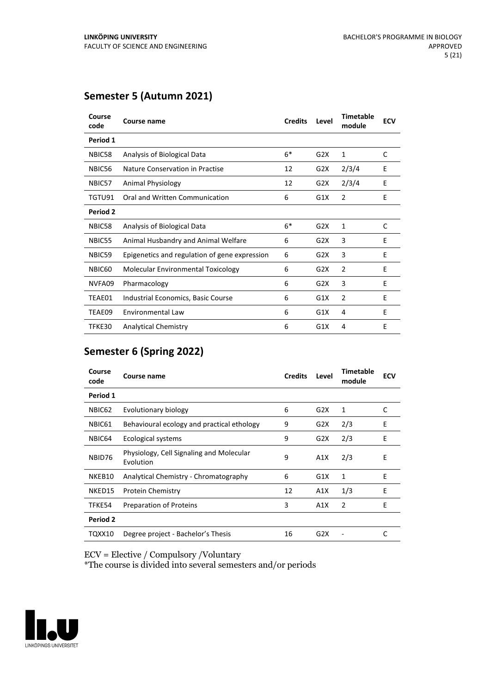## **Semester 5 (Autumn 2021)**

| Course<br>code | Course name                                   | <b>Credits</b> | Level | <b>Timetable</b><br>module | <b>ECV</b> |
|----------------|-----------------------------------------------|----------------|-------|----------------------------|------------|
| Period 1       |                                               |                |       |                            |            |
| NBIC58         | Analysis of Biological Data                   | $6*$           | G2X   | 1                          | C          |
| NBIC56         | Nature Conservation in Practise               | 12             | G2X   | 2/3/4                      | E          |
| NBIC57         | <b>Animal Physiology</b>                      | 12             | G2X   | 2/3/4                      | E          |
| TGTU91         | Oral and Written Communication                | 6              | G1X   | 2                          | E          |
| Period 2       |                                               |                |       |                            |            |
| NBIC58         | Analysis of Biological Data                   | $6*$           | G2X   | 1                          | C          |
| NBIC55         | Animal Husbandry and Animal Welfare           | 6              | G2X   | 3                          | Е          |
| NBIC59         | Epigenetics and regulation of gene expression | 6              | G2X   | 3                          | E          |
| NBIC60         | Molecular Environmental Toxicology            | 6              | G2X   | $\overline{2}$             | E          |
| NVFA09         | Pharmacology                                  | 6              | G2X   | 3                          | E          |
| TEAE01         | Industrial Economics, Basic Course            | 6              | G1X   | $\overline{2}$             | E          |
| TEAE09         | Environmental Law                             | 6              | G1X   | 4                          | E          |
| TFKE30         | <b>Analytical Chemistry</b>                   | 6              | G1X   | 4                          | E          |

## **Semester 6 (Spring 2022)**

| Course<br>code  | Course name                                           | <b>Credits</b> | Level | <b>Timetable</b><br>module | <b>ECV</b> |
|-----------------|-------------------------------------------------------|----------------|-------|----------------------------|------------|
| Period 1        |                                                       |                |       |                            |            |
| NBIC62          | Evolutionary biology                                  | 6              | G2X   | 1                          | C          |
| NBIC61          | Behavioural ecology and practical ethology            | 9              | G2X   | 2/3                        | E          |
| NBIC64          | Ecological systems                                    | 9              | G2X   | 2/3                        | E          |
| NBID76          | Physiology, Cell Signaling and Molecular<br>Evolution | 9              | A1X   | 2/3                        | E          |
| NKEB10          | Analytical Chemistry - Chromatography                 | 6              | G1X   | 1                          | E          |
| NKED15          | <b>Protein Chemistry</b>                              | 12             | A1X   | 1/3                        | E          |
| TFKE54          | Preparation of Proteins                               | 3              | A1X   | $\overline{2}$             | E          |
| <b>Period 2</b> |                                                       |                |       |                            |            |
| TQXX10          | Degree project - Bachelor's Thesis                    | 16             | G2X   |                            | C          |

ECV = Elective / Compulsory /Voluntary

\*The course is divided into several semesters and/or periods

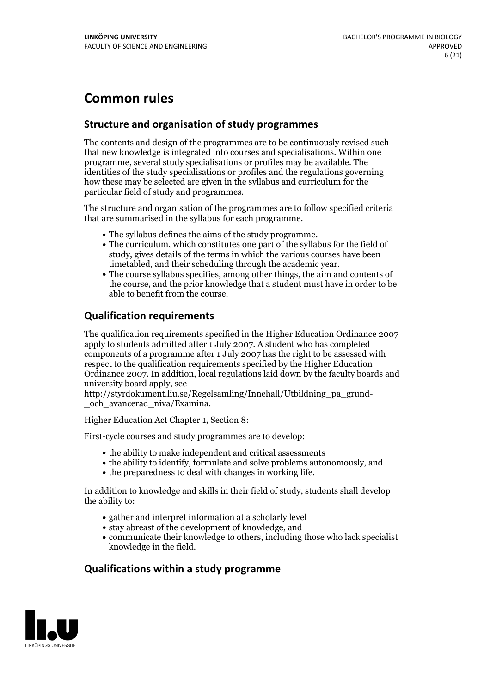## **Common rules**

## **Structure and organisation of study programmes**

The contents and design of the programmes are to be continuously revised such that new knowledge is integrated into courses and specialisations. Within one programme, several study specialisations or profiles may be available. The identities of the study specialisations or profiles and the regulations governing how these may be selected are given in the syllabus and curriculum for the particular field of study and programmes.

The structure and organisation of the programmes are to follow specified criteria that are summarised in the syllabus for each programme.

- 
- The syllabus defines the aims of the study programme.<br>• The curriculum, which constitutes one part of the syllabus for the field of study, gives details of the terms in which the various courses have been
- The course syllabus specifies, among other things, the aim and contents of the course, and the prior knowledge that a student must have in order to be able to benefit from the course.

## **Qualification requirements**

The qualification requirements specified in the Higher Education Ordinance 2007 apply to students admitted after 1 July 2007. A student who has completed components of a programme after 1 July 2007 has the right to be assessed with respect to the qualification requirements specified by the Higher Education Ordinance 2007. In addition, local regulations laid down by the faculty boards and university board apply, see

http://styrdokument.liu.se/Regelsamling/Innehall/Utbildning\_pa\_grund- \_och\_avancerad\_niva/Examina.

Higher Education Act Chapter 1, Section 8:

First-cycle courses and study programmes are to develop:

- the ability to make independent and critical assessments
- the ability to identify, formulate and solve problems autonomously, and
- $\bullet$  the preparedness to deal with changes in working life.

In addition to knowledge and skills in their field of study, students shall develop the ability to:

- gather and interpret information at a scholarly level
- stay abreast of the development of knowledge, and
- communicate their knowledge to others, including those who lack specialist knowledge in the field.

## **Qualifications within a study programme**

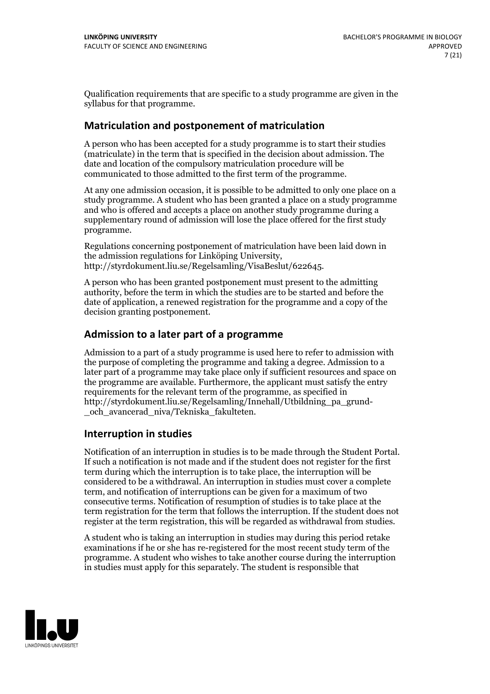Qualification requirements that are specific to a study programme are given in the syllabus for that programme.

## **Matriculation and postponement of matriculation**

A person who has been accepted for a study programme is to start their studies (matriculate) in the term that is specified in the decision about admission. The date and location of the compulsory matriculation procedure will be communicated to those admitted to the first term of the programme.

At any one admission occasion, it is possible to be admitted to only one place on a study programme. A student who has been granted a place on a study programme and who is offered and accepts a place on another study programme during a supplementary round of admission will lose the place offered for the first study programme.

Regulations concerning postponement of matriculation have been laid down in the admission regulations for Linköping University, http://styrdokument.liu.se/Regelsamling/VisaBeslut/622645.

A person who has been granted postponement must present to the admitting authority, before the term in which the studies are to be started and before the date of application, a renewed registration for the programme and a copy of the decision granting postponement.

## **Admission to a later part of a programme**

Admission to a part of a study programme is used here to refer to admission with the purpose of completing the programme and taking a degree. Admission to a later part of a programme may take place only if sufficient resources and space on the programme are available. Furthermore, the applicant must satisfy the entry requirements for the relevant term of the programme, as specified in http://styrdokument.liu.se/Regelsamling/Innehall/Utbildning\_pa\_grund- \_och\_avancerad\_niva/Tekniska\_fakulteten.

## **Interruption in studies**

Notification of an interruption in studies is to be made through the Student Portal. If such <sup>a</sup> notification is not made and if the student does not register for the first term during which the interruption is to take place, the interruption will be considered to be a withdrawal. An interruption in studies must cover a complete term, and notification of interruptions can be given for a maximum of two consecutive terms. Notification of resumption of studies is to take place at the term registration for the term that follows the interruption. If the student does not register at the term registration, this will be regarded as withdrawal from studies.

A student who is taking an interruption in studies may during this period retake examinations if he or she has re-registered for the most recent study term of the programme. A student who wishes to take another course during the interruption in studies must apply for this separately. The student is responsible that

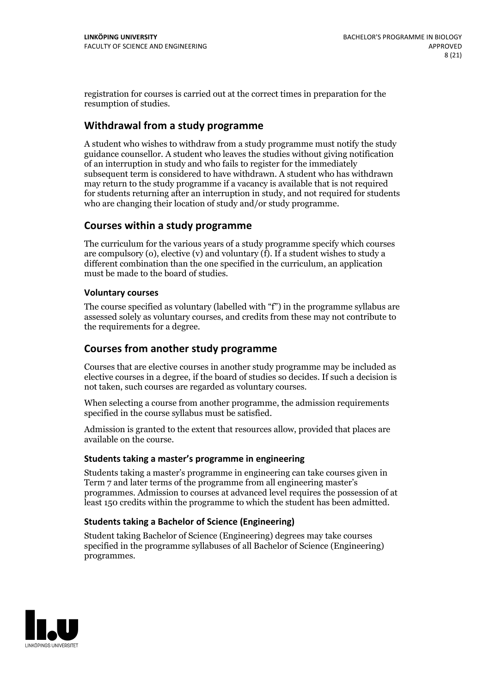registration for courses is carried outat the correct times in preparation for the resumption of studies.

## **Withdrawal from a study programme**

A student who wishes to withdraw from a study programme must notify the study guidance counsellor. A student who leaves the studies without giving notification of an interruption in study and who fails to register for the immediately subsequent term is considered to have withdrawn. A student who has withdrawn may return to the study programme if a vacancy is available that is not required for students returning after an interruption in study, and not required for students who are changing their location of study and/or study programme.

## **Courses within a study programme**

The curriculum for the various years of a study programme specify which courses are compulsory (o), elective (v) and voluntary (f). If a student wishes to study a different combination than the one specified in the curriculum, an application must be made to the board of studies.

### **Voluntarycourses**

The course specified as voluntary (labelled with "f") in the programme syllabus are assessed solely as voluntary courses, and credits from these may not contribute to the requirements for a degree.

## **Courses from another study programme**

Courses that are elective courses in another study programme may be included as elective courses in a degree, if the board of studies so decides. If such a decision is not taken, such courses are regarded as voluntary courses.

When selecting a course from another programme, the admission requirements specified in the course syllabus must be satisfied.

Admission is granted to the extent that resources allow, provided that places are available on the course.

#### **Students taking a master's programme in engineering**

Students taking a master's programme in engineering can take courses given in Term 7 and later terms of the programme from all engineering master's programmes. Admission to courses at advanced level requires the possession of at least 150 credits within the programme to which the student has been admitted.

## **Students taking a Bachelor of Science (Engineering)**

Student taking Bachelor of Science (Engineering) degrees may take courses specified in the programme syllabuses of all Bachelor of Science (Engineering) programmes.

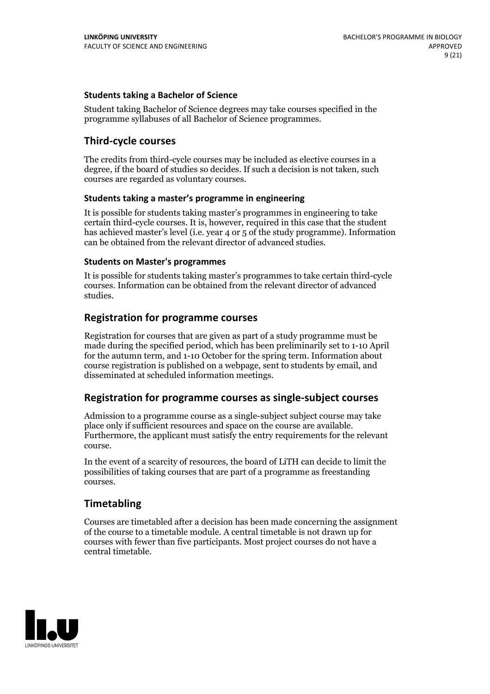### **Students taking a Bachelor of Science**

Student taking Bachelor of Science degrees may take courses specified in the programme syllabuses of all Bachelor of Science programmes.

## **Third-cycle courses**

The credits from third-cycle courses may be included as elective courses in a degree, if the board of studies so decides. If such a decision is not taken, such courses are regarded as voluntary courses.

#### **Students taking a master's programme in engineering**

It is possible for students taking master's programmes in engineering to take certain third-cycle courses. It is, however, required in this case that the student has achieved master's level (i.e. year 4 or 5 of the study programme). Information can be obtained from the relevant director of advanced studies.

#### **Students on Master's programmes**

It is possible for students taking master's programmes to take certain third-cycle courses. Information can be obtained from the relevant director of advanced studies.

## **Registration for programme courses**

Registration for courses that are given as part of a study programme must be made during the specified period, which has been preliminarily set to 1-10 April for the autumn term, and 1-10 October for the spring term. Information about course registration is published on a webpage, sent to students by email, and disseminated at scheduled information meetings.

## **Registration for programme courses as single-subject courses**

Admission to a programme course as a single-subject subject course may take place only if sufficient resources and space on the course are available. Furthermore, the applicant must satisfy the entry requirements for the relevant course.

In the event of a scarcity of resources, the board of LiTH can decide to limit the possibilities of taking courses that are part of a programme as freestanding courses.

## **Timetabling**

Courses are timetabled after a decision has been made concerning the assignment of the course to a timetable module. A central timetable is not drawn up for courses with fewer than five participants. Most project courses do not have a central timetable.

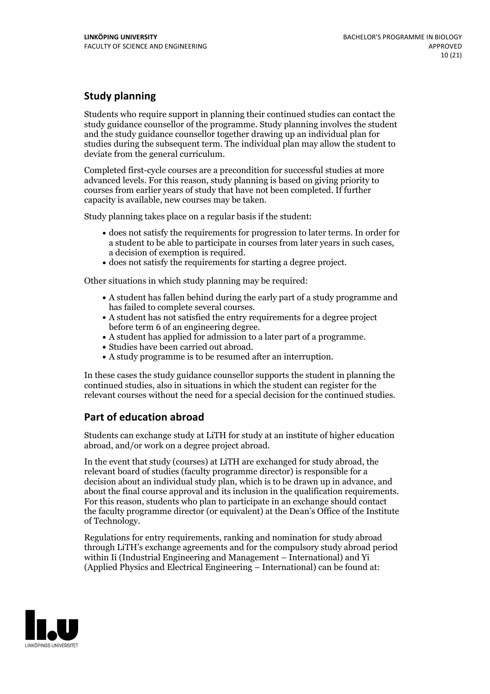## **Study planning**

Students who require support in planning their continued studies can contact the study guidance counsellor of the programme. Study planning involves the student and the study guidance counsellor together drawing up an individual plan for studies during the subsequent term. The individual plan may allow the student to deviate from the general curriculum.

Completed first-cycle courses are a precondition for successful studies at more advanced levels. For this reason, study planning is based on giving priority to courses from earlier years of study that have not been completed. If further capacity is available, new courses may be taken.

Study planning takes place on a regular basis if the student:

- does not satisfy the requirements for progression to later terms. In order for a student to be able to participate in courses from later years in such cases, a decision of exemption is required.<br>
• does not satisfy the requirements for starting a degree project.
- 

Other situations in which study planning may be required:

- A student has fallen behind during the early part of a study programme and has failed to complete several courses.<br>• A student has not satisfied the entry requirements for a degree project
- 
- before term 6 of an engineering degree.<br>• A student has applied for admission to a later part of a programme.<br>• Studies have been carried out abroad.<br>• A study programme is to be resumed after an interruption.
- 
- 

In these cases the study guidance counsellor supports the student in planning the continued studies, also in situations in which the student can register for the relevant courses without the need for a special decision for the continued studies.

## **Part of education abroad**

Students can exchange study at LiTH for study at an institute of higher education abroad, and/or work on a degree project abroad.

In the event that study (courses) at LiTH are exchanged for study abroad, the relevant board of studies (faculty programme director) is responsible for a decision about an individual study plan, which is to be drawn up in advance, and about the final course approval and its inclusion in the qualification requirements. For this reason, students who plan to participate in an exchange should contact the faculty programme director (or equivalent) at the Dean's Office ofthe Institute of Technology.

Regulations for entry requirements, ranking and nomination for study abroad through LiTH's exchange agreements and for the compulsory study abroad period within Ii (Industrial Engineering and Management – International) and Yi (Applied Physics and Electrical Engineering – International) can be found at:

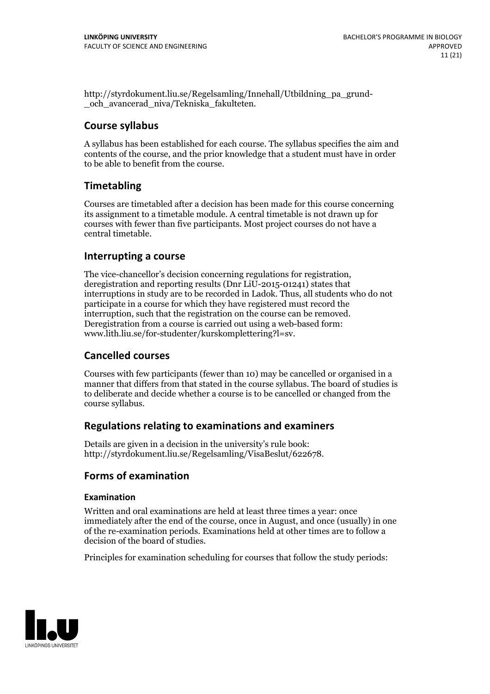http://styrdokument.liu.se/Regelsamling/Innehall/Utbildning\_pa\_grund- \_och\_avancerad\_niva/Tekniska\_fakulteten.

## **Course syllabus**

A syllabus has been established for each course. The syllabus specifies the aim and contents of the course, and the prior knowledge that a student must have in order to be able to benefit from the course.

## **Timetabling**

Courses are timetabled after a decision has been made for this course concerning its assignment to a timetable module. A central timetable is not drawn up for courses with fewer than five participants. Most project courses do not have a central timetable.

## **Interrupting a course**

The vice-chancellor's decision concerning regulations for registration, deregistration and reporting results (Dnr LiU-2015-01241) states that interruptions in study are to be recorded in Ladok. Thus, all students who do not participate in a course for which they have registered must record the interruption, such that the registration on the course can be removed. Deregistration from <sup>a</sup> course is carried outusing <sup>a</sup> web-based form: www.lith.liu.se/for-studenter/kurskomplettering?l=sv.

## **Cancelled courses**

Courses with few participants (fewer than 10) may be cancelled or organised in a manner that differs from that stated in the course syllabus. The board of studies is to deliberate and decide whether a course is to be cancelled orchanged from the course syllabus.

## **Regulations relatingto examinations and examiners**

Details are given in a decision in the university's rule book: http://styrdokument.liu.se/Regelsamling/VisaBeslut/622678.

## **Forms of examination**

## **Examination**

Written and oral examinations are held at least three times a year: once immediately after the end of the course, once in August, and once (usually) in one of the re-examination periods. Examinations held at other times are to follow a decision of the board of studies.

Principles for examination scheduling for courses that follow the study periods:

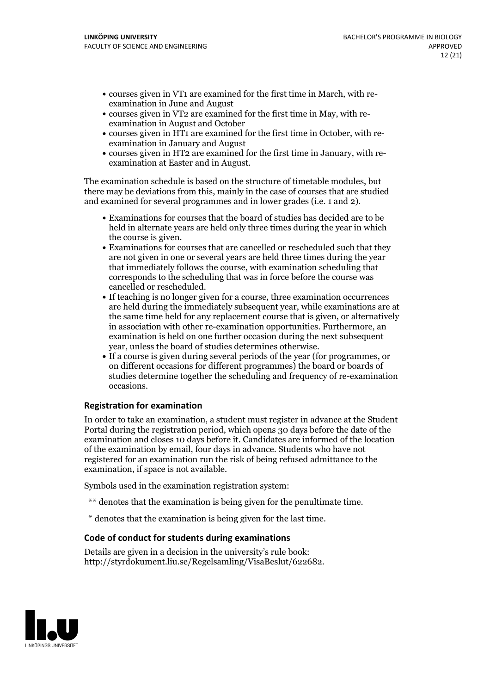- courses given in VT1 are examined for the first time in March, with re-examination in June and August
- courses given in VT2 are examined for the first time in May, with re-examination in August and October
- courses given in HT1 are examined for the first time in October, with re-examination in January and August
- courses given in HT2 are examined for the first time in January, with re-examination at Easter and in August.

The examination schedule is based on the structure of timetable modules, but there may be deviations from this, mainly in the case of courses that are studied and examined for several programmes and in lower grades (i.e. 1 and 2).

- Examinations for courses that the board of studies has decided are to be held in alternate years are held only three times during the year in which the course is given.<br>• Examinations for courses that are cancelled or rescheduled such that they
- are not given in one or several years are held three times during the year that immediately follows the course, with examination scheduling that corresponds to the scheduling that was in force before the course was cancelled or rescheduled.<br>• If teaching is no longer given for a course, three examination occurrences
- are held during the immediately subsequent year, while examinations are at the same time held for any replacement course that is given, or alternatively in association with other re-examination opportunities. Furthermore, an examination is held on one further occasion during the next subsequent
- year, unless the board of studies determines otherwise.<br>If a course is given during several periods of the year (for programmes, or on different occasions for different programmes) the board or boards of studies determine together the scheduling and frequency of re-examination occasions.

## **Registration for examination**

In order to take an examination, a student must register in advance at the Student Portal during the registration period, which opens 30 days before the date of the examination and closes 10 days before it. Candidates are informed of the location of the examination by email, four days in advance. Students who have not registered for an examination run the risk of being refused admittance to the examination, if space is not available.

Symbols used in the examination registration system:

- \*\* denotes that the examination is being given for the penultimate time.
- \* denotes that the examination is being given for the last time.

#### **Code of conduct for students during examinations**

Details are given in a decision in the university's rule book: http://styrdokument.liu.se/Regelsamling/VisaBeslut/622682.

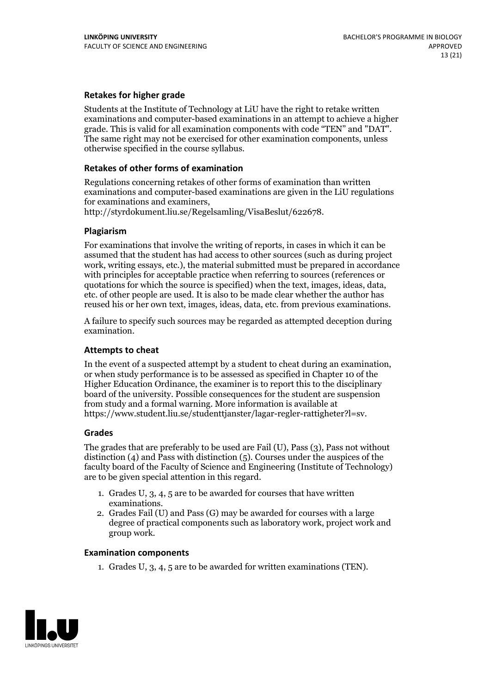### **Retakes for higher grade**

Students at the Institute of Technology at LiU have the right to retake written examinations and computer-based examinations in an attempt to achieve a higher grade. This is valid for all examination components with code "TEN" and "DAT". The same right may not be exercised for other examination components, unless otherwise specified in the course syllabus.

#### **Retakes of other forms of examination**

Regulations concerning retakes of other forms of examination than written examinations and computer-based examinations are given in the LiU regulations

http://styrdokument.liu.se/Regelsamling/VisaBeslut/622678.

#### **Plagiarism**

For examinations that involve the writing of reports, in cases in which it can be assumed that the student has had access to other sources (such as during project work, writing essays, etc.), the material submitted must be prepared in accordance with principles for acceptable practice when referring to sources (references or quotations for which the source is specified) when the text, images, ideas, data, etc. of other people are used. It is also to be made clear whether the author has reused his or her own text, images, ideas, data, etc. from previous examinations.

A failure to specify such sources may be regarded as attempted deception during examination.

#### **Attempts to cheat**

In the event of <sup>a</sup> suspected attempt by <sup>a</sup> student to cheat during an examination, or when study performance is to be assessed as specified in Chapter <sup>10</sup> of the Higher Education Ordinance, the examiner is to report this to the disciplinary board of the university. Possible consequences for the student are suspension from study and a formal warning. More information is available at https://www.student.liu.se/studenttjanster/lagar-regler-rattigheter?l=sv.

#### **Grades**

The grades that are preferably to be used are Fail (U), Pass (3), Pass not without distinction  $(4)$  and Pass with distinction  $(5)$ . Courses under the auspices of the faculty board of the Faculty of Science and Engineering (Institute of Technology) are to be given special attention in this regard.

- 1. Grades U, 3, 4, 5 are to be awarded for courses that have written
- examinations. 2. Grades Fail (U) and Pass (G) may be awarded for courses with <sup>a</sup> large degree of practical components such as laboratory work, project work and group work.

#### **Examination components**

1. Grades U, 3, 4, 5 are to be awarded for written examinations (TEN).

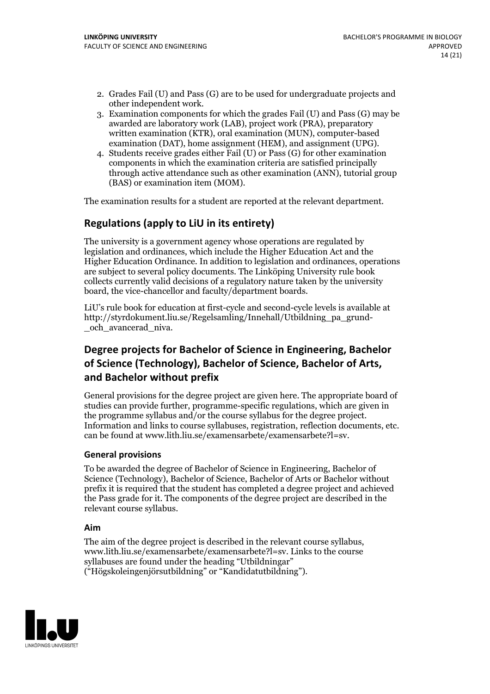- 2. Grades Fail (U) and Pass (G) are to be used for undergraduate projects and other independent work. 3. Examination components for which the grades Fail (U) and Pass (G) may be
- awarded are laboratory work (LAB), project work (PRA), preparatory written examination (KTR), oral examination (MUN), computer-based
- examination (DAT), home assignment (HEM), and assignment (UPG). 4. Students receive grades either Fail (U) or Pass (G) for other examination components in which the examination criteria are satisfied principally through active attendance such as other examination (ANN), tutorial group (BAS) or examination item (MOM).

The examination results for a student are reported at the relevant department.

## **Regulations (applyto LiU in its entirety)**

The university is a government agency whose operations are regulated by legislation and ordinances, which include the Higher Education Act and the Higher Education Ordinance. In addition to legislation and ordinances, operations are subject to several policy documents. The Linköping University rule book collects currently valid decisions of a regulatory nature taken by the university board, the vice-chancellor and faculty/department boards.

LiU's rule book for education at first-cycle and second-cycle levels is available at http://styrdokument.liu.se/Regelsamling/Innehall/Utbildning\_pa\_grund- \_och\_avancerad\_niva.

## **Degree projects for Bachelor of Science in Engineering, Bachelor ofScience (Technology), Bachelor ofScience, Bachelor of Arts, and Bachelor without prefix**

General provisions for the degree project are given here. The appropriate board of studies can provide further, programme-specific regulations, which are given in the programme syllabus and/or the course syllabus for the degree project. Information and links to course syllabuses, registration, reflection documents, etc. can be found at www.lith.liu.se/examensarbete/examensarbete?l=sv.

## **General provisions**

To be awarded the degree of Bachelor of Science in Engineering, Bachelor of Science (Technology), Bachelor of Science, Bachelor of Arts or Bachelor without prefix it is required that the student has completed a degree project and achieved the Pass grade for it. The components of the degree project are described in the relevant course syllabus.

#### **Aim**

The aim of the degree project is described in the relevant course syllabus, www.lith.liu.se/examensarbete/examensarbete?l=sv. Links to the course syllabuses are found under the heading "Utbildningar" ("Högskoleingenjörsutbildning" or "Kandidatutbildning").

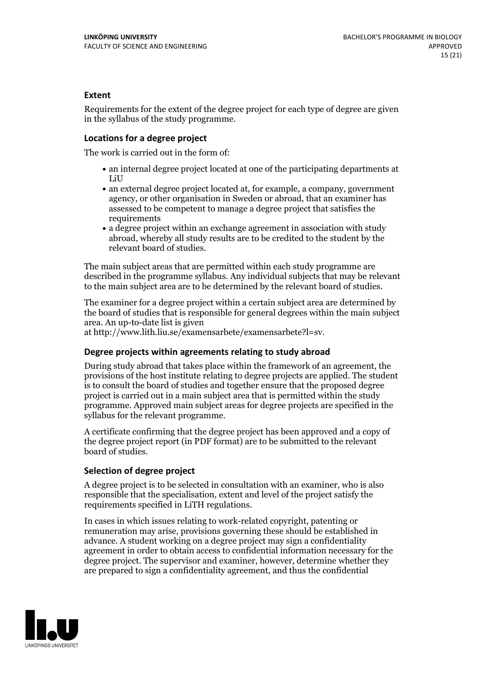### **Extent**

Requirements for the extent of the degree project for each type of degree are given in the syllabus of the study programme.

#### **Locations for a degree project**

The work is carried out in the form of:

- an internal degree project located at one of the participating departments at LiU
- an external degree project located at, for example, a company, government agency, or other organisation in Sweden or abroad, that an examiner has assessed to be competent to manage a degree project that satisfies the requirements
- a degree project within an exchange agreement in association with study abroad, whereby all study results are to be credited to the student by the relevant board of studies.

The main subject areas that are permitted within each study programme are described in the programme syllabus. Any individual subjects that may be relevant to the main subject area are to be determined by the relevant board of studies.

The examiner for a degree project within a certain subject area are determined by the board of studies that is responsible for general degrees within the main subject area. An up-to-date list is given

at http://www.lith.liu.se/examensarbete/examensarbete?l=sv.

#### **Degree projects within agreements relatingto study abroad**

During study abroad that takes place within the framework of an agreement, the provisions of the host institute relating to degree projects are applied. The student is to consult the board of studies and together ensure that the proposed degree project is carried outin a main subject area that is permitted within the study programme. Approved main subject areas for degree projects are specified in the syllabus for the relevant programme.

A certificate confirming that the degree project has been approved and a copy of the degree project report (in PDF format) are to be submitted to the relevant board of studies.

#### **Selection of degree project**

A degree project is to be selected in consultation with an examiner, who is also responsible that the specialisation, extent and level of the project satisfy the requirements specified in LiTH regulations.

In cases in which issues relating to work-related copyright, patenting or remuneration may arise, provisions governing these should be established in advance. A student working on a degree project may sign a confidentiality agreement in order to obtain access to confidential information necessary for the degree project. The supervisor and examiner, however, determine whether they are prepared to sign a confidentiality agreement, and thus the confidential

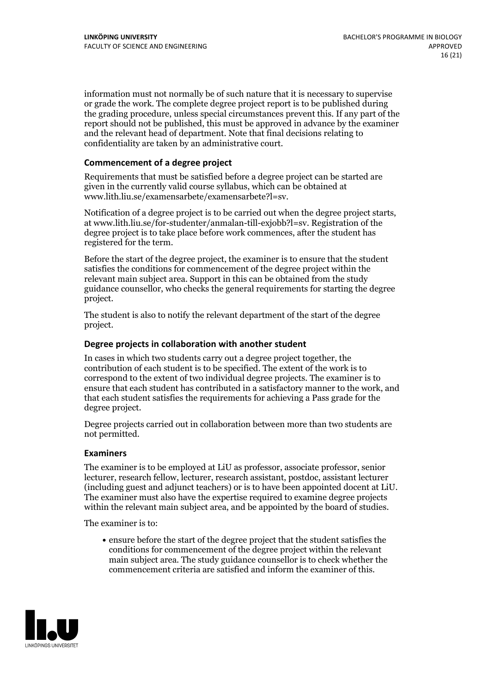information must not normally be of such nature that it is necessary to supervise or grade the work. The complete degree project report is to be published during the grading procedure, unless special circumstances prevent this. If any part of the report should not be published, this must be approved in advance by the examiner and the relevant head of department. Note that final decisions relating to confidentiality are taken by an administrative court.

#### **Commencement of a degree project**

Requirements that must be satisfied before a degree project can be started are given in the currently valid course syllabus, which can be obtained at www.lith.liu.se/examensarbete/examensarbete?l=sv.

Notification of <sup>a</sup> degree project is to be carried outwhen the degree project starts, at www.lith.liu.se/for-studenter/anmalan-till-exjobb?l=sv. Registration of the degree project is to take place before work commences, after the student has registered for the term.

Before the start of the degree project, the examiner is to ensure that the student satisfies the conditions for commencement of the degree project within the relevant main subject area. Support in this can be obtained from the study guidance counsellor, who checks the general requirements for starting the degree project.

The student is also to notify the relevant department of the start of the degree project.

#### **Degree projects in collaboration with another student**

In cases in which two students carry out a degree project together, the contribution of each student is to be specified. The extent of the work is to correspond to the extent of two individual degree projects. The examiner is to ensure that each student has contributed in a satisfactory manner to the work, and that each student satisfies the requirements for achieving a Pass grade for the degree project.

Degree projects carried out in collaboration between more than two students are not permitted.

#### **Examiners**

The examiner is to be employed at LiU as professor, associate professor, senior lecturer, research fellow, lecturer, research assistant, postdoc, assistant lecturer (including guest and adjunct teachers) or is to have been appointed docent at LiU. The examiner must also have the expertise required to examine degree projects within the relevant main subject area, and be appointed by the board of studies.

The examiner is to:

ensure before the start of the degree project that the student satisfies the conditions for commencement of the degree project within the relevant main subject area. The study guidance counsellor is to check whether the commencement criteria are satisfied and inform the examiner of this.

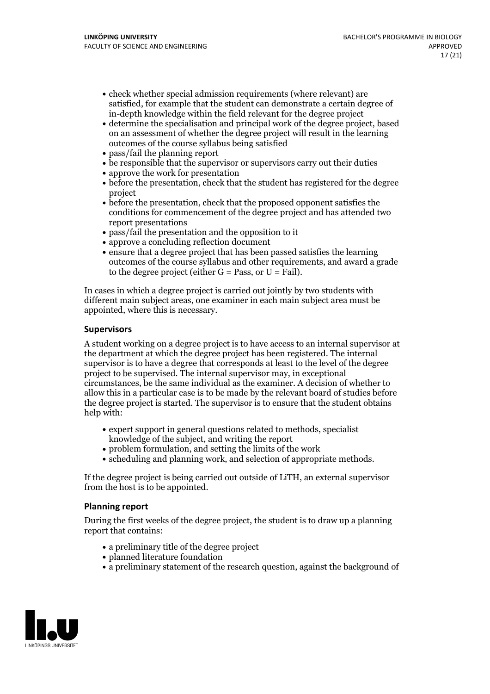- check whether special admission requirements (where relevant) are satisfied, for example that the student can demonstrate a certain degree of in-depth knowledge within the field relevant for the degree project
- determine the specialisation and principal work of the degree project, based on an assessment of whether the degree project will result in the learning outcomes of the course syllabus being satisfied
- pass/fail the planning report
- be responsible that the supervisor or supervisors carry out their duties
- approve the work for presentation
- before the presentation, check that the student has registered for the degree project
- before the presentation, check that the proposed opponent satisfies the conditions for commencement of the degree project and has attended two report presentations
- pass/fail the presentation and the opposition to it
- approve a concluding reflection document
- ensure that a degree project that has been passed satisfies the learning outcomes of the course syllabus and other requirements, and award a grade to the degree project (either  $G = Pass$ , or  $U = Fail$ ).

In cases in which a degree project is carried out jointly by two students with different main subject areas, one examiner in each main subject area must be appointed, where this is necessary.

#### **Supervisors**

A student working on a degree project is to have access to an internal supervisor at the department at which the degree project has been registered. The internal supervisor is to have a degree that corresponds at least to the level of the degree project to be supervised. The internal supervisor may, in exceptional circumstances, be the same individual as the examiner. A decision of whether to allow this in a particular case is to be made by the relevant board of studies before the degree project is started. The supervisor is to ensure that the student obtains help with:

- expert support in general questions related to methods, specialist knowledge ofthe subject, and writing the report
- problem formulation, and setting the limits of the work
- scheduling and planning work, and selection of appropriate methods.

If the degree project is being carried out outside of LiTH, an external supervisor from the host is to be appointed.

#### **Planning report**

During the first weeks of the degree project, the student is to draw up a planning report that contains:

- $\bullet$  a preliminary title of the degree project
- planned literature foundation
- a preliminary statement of the research question, against the background of

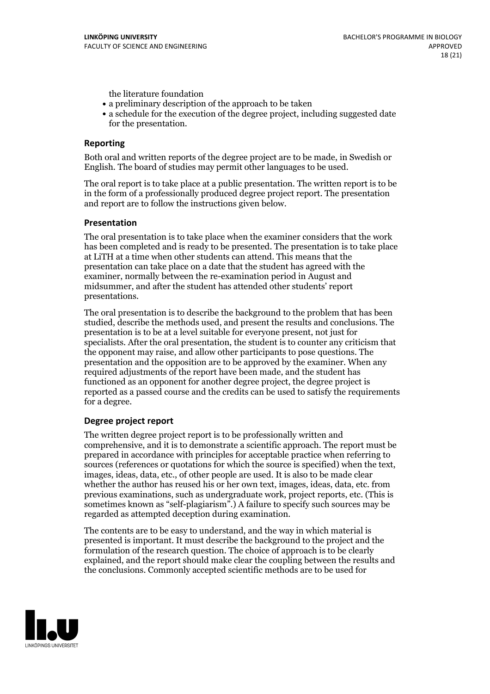the literature foundation

- a preliminary description of the approach to be taken
- a schedule for the execution of the degree project, including suggested date for the presentation.

#### **Reporting**

Both oral and written reports of the degree project are to be made, in Swedish or English. The board of studies may permit other languages to be used.

The oral report is to take place at a public presentation. The written report is to be in the form of a professionally produced degree project report. The presentation and report are to follow the instructions given below.

#### **Presentation**

The oral presentation is to take place when the examiner considers that the work has been completed and is ready to be presented. The presentation is to take place at LiTH at a time when other students can attend. This means that the presentation can take place on a date that the student has agreed with the examiner, normally between the re-examination period in August and midsummer, and after the student has attended other students' report presentations.

The oral presentation is to describe the background to the problem that has been studied, describe the methods used, and present the results and conclusions. The presentation is to be at a level suitable for everyone present, not just for specialists. After the oral presentation, the student is to counter any criticism that the opponent may raise, and allow other participants to pose questions. The presentation and the opposition are to be approved by the examiner. When any required adjustments of the report have been made, and the student has functioned as an opponent for another degree project, the degree project is reported as a passed course and the credits can be used to satisfy the requirements for a degree.

#### **Degree project report**

The written degree project report is to be professionally written and comprehensive, and it is to demonstrate a scientific approach. The report must be prepared in accordance with principles for acceptable practice when referring to sources (references or quotations for which the source is specified) when the text, images, ideas, data, etc., of other people are used. It is also to be made clear whether the author has reused his or her own text, images, ideas, data, etc. from previous examinations, such asundergraduate work, project reports, etc. (This is sometimes known as "self-plagiarism".) A failure to specify such sources may be regarded as attempted deception during examination.

The contents are to be easy to understand, and the way in which material is presented is important. It must describe the background to the project and the formulation of the research question. The choice of approach is to be clearly explained, and the report should make clear the coupling between the results and the conclusions. Commonly accepted scientific methods are to be used for

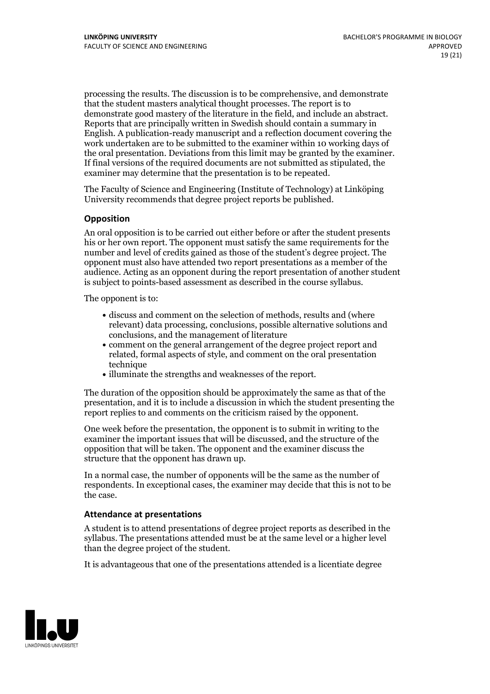processing the results. The discussion is to be comprehensive, and demonstrate that the student masters analytical thought processes. The report is to demonstrate good mastery of the literature in the field, and include an abstract. Reports that are principally written in Swedish should contain <sup>a</sup> summary in English. A publication-ready manuscript and a reflection document covering the work undertaken are to be submitted to the examiner within 10 working days of the oral presentation. Deviations from this limit may be granted by the examiner. If final versions of the required documents are not submitted as stipulated, the examiner may determine that the presentation is to be repeated.

The Faculty of Science and Engineering (Institute of Technology) at Linköping University recommends that degree project reports be published.

### **Opposition**

An oral opposition is to be carried out either before or after the student presents his or her own report. The opponent must satisfy the same requirements for the number and level of credits gained as those of the student's degree project. The opponent must also have attended two report presentations as a member of the audience. Acting as an opponent during the report presentation of another student is subject to points-based assessment as described in the course syllabus.

The opponent is to:

- discuss and comment on the selection of methods, results and (where relevant) data processing, conclusions, possible alternative solutions and conclusions, and the management of literature
- comment on the general arrangement of the degree project report and related, formal aspects of style, and comment on the oral presentation technique
- illuminate the strengths and weaknesses of the report.

The duration of the opposition should be approximately the same as that of the presentation, and it is to include a discussion in which the student presenting the report replies to and comments on the criticism raised by the opponent.

One week before the presentation, the opponent is to submit in writing to the examiner the important issues that will be discussed, and the structure of the opposition that will be taken. The opponent and the examiner discuss the structure that the opponent has drawn up.

In a normal case, the number of opponents will be the same as the number of respondents. In exceptional cases, the examiner may decide that this is not to be the case.

#### **Attendance at presentations**

A student is to attend presentations of degree project reports as described in the syllabus. The presentations attended must be atthe same level or a higher level than the degree project of the student.

It is advantageous that one of the presentations attended is a licentiate degree

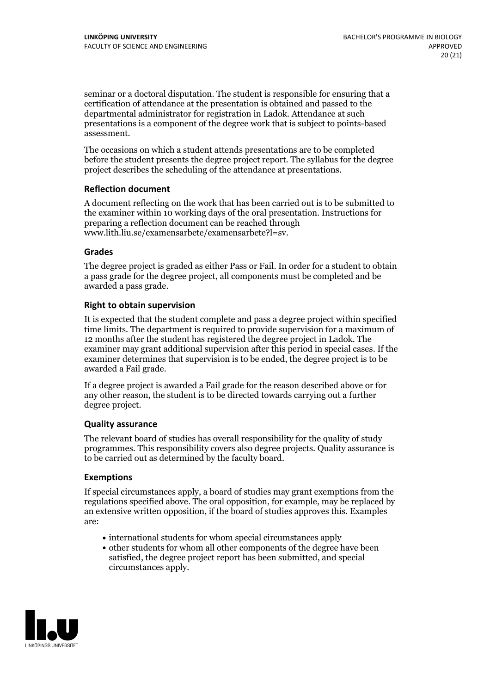seminar or a doctoral disputation. The student is responsible for ensuring that a certification of attendance at the presentation is obtained and passed to the departmental administrator for registration in Ladok. Attendance at such presentations is a component of the degree work that is subject to points-based assessment.

The occasions on which a student attends presentations are to be completed before the student presents the degree project report. The syllabus for the degree project describes the scheduling of the attendance at presentations.

### **Reflection document**

A document reflecting on the work that has been carried out is to be submitted to the examiner within 10 working days of the oral presentation. Instructions for preparing a reflection document can be reached through www.lith.liu.se/examensarbete/examensarbete?l=sv.

### **Grades**

The degree project is graded as either Pass or Fail. In order for a student to obtain a pass grade for the degree project, all components must be completed and be awarded a pass grade.

### **Right to obtain supervision**

It is expected that the student complete and pass a degree project within specified time limits. The department is required to provide supervision for a maximum of 12 months after the student has registered the degree project in Ladok. The examiner may grant additional supervision after this period in special cases. If the examiner determines that supervision is to be ended, the degree project is to be awarded a Fail grade.

If a degree project is awarded a Fail grade for the reason described above or for any other reason, the student is to be directed towards carrying out a further degree project.

## **Quality assurance**

The relevant board of studies has overall responsibility for the quality of study programmes. This responsibility covers also degree projects. Quality assurance is to be carried out as determined by the faculty board.

#### **Exemptions**

If special circumstances apply, a board of studies may grant exemptions from the regulations specified above. The oral opposition, for example, may be replaced by an extensive written opposition, if the board of studies approves this. Examples are:

- international students for whom special circumstances apply
- other students for whom all other components of the degree have been satisfied, the degree project report has been submitted, and special circumstances apply.